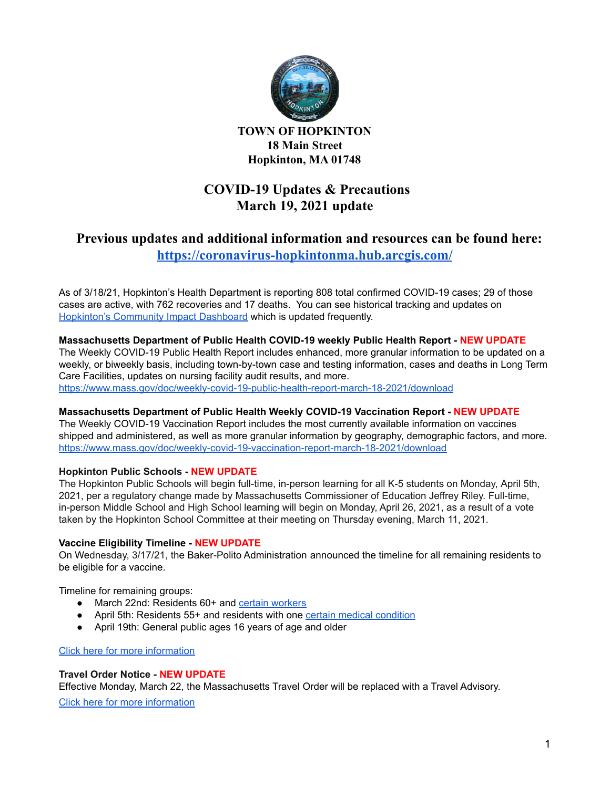

**TOWN OF HOPKINTON 18 Main Street Hopkinton, MA 01748**

# **COVID-19 Updates & Precautions March 19, 2021 update**

## **Previous updates and additional information and resources can be found here: <https://coronavirus-hopkintonma.hub.arcgis.com/>**

As of 3/18/21, Hopkinton's Health Department is reporting 808 total confirmed COVID-19 cases; 29 of those cases are active, with 762 recoveries and 17 deaths. You can see historical tracking and updates on [Hopkinton's](https://hopkintonma.maps.arcgis.com/apps/opsdashboard/index.html#/01aa244939e540aeb2991ec71392d431) Community Impact Dashboard which is updated frequently.

## **Massachusetts Department of Public Health COVID-19 weekly Public Health Report - NEW UPDATE**

The Weekly COVID-19 Public Health Report includes enhanced, more granular information to be updated on a weekly, or biweekly basis, including town-by-town case and testing information, cases and deaths in Long Term Care Facilities, updates on nursing facility audit results, and more.

<https://www.mass.gov/doc/weekly-covid-19-public-health-report-march-18-2021/download>

#### **Massachusetts Department of Public Health Weekly COVID-19 Vaccination Report - NEW UPDATE**

The Weekly COVID-19 Vaccination Report includes the most currently available information on vaccines shipped and administered, as well as more granular information by geography, demographic factors, and more. <https://www.mass.gov/doc/weekly-covid-19-vaccination-report-march-18-2021/download>

#### **Hopkinton Public Schools - NEW UPDATE**

The Hopkinton Public Schools will begin full-time, in-person learning for all K-5 students on Monday, April 5th, 2021, per a regulatory change made by Massachusetts Commissioner of Education Jeffrey Riley. Full-time, in-person Middle School and High School learning will begin on Monday, April 26, 2021, as a result of a vote taken by the Hopkinton School Committee at their meeting on Thursday evening, March 11, 2021.

#### **Vaccine Eligibility Timeline - NEW UPDATE**

On Wednesday, 3/17/21, the Baker-Polito Administration announced the timeline for all remaining residents to be eligible for a vaccine.

Timeline for remaining groups:

- March 22nd: Residents 60+ and certain [workers](https://www.mass.gov/info-details/covid-19-vaccinations-for-certain-workers---unpublished-0?auHash=bfk-H3eJd2Ajj7JmJ9faBIicK7ku84GMXMpsMGjvNtc)
- April 5th: Residents 55+ and residents with one certain medical [condition](https://www.mass.gov/info-details/covid-19-vaccinations-for-individuals-with-certain-medical-conditions?n)
- April 19th: General public ages 16 years of age and older

### Click here for more [information](https://www.mass.gov/news/baker-polito-administration-announces-vaccine-timeline-for-all-residents-provides-weekly-dose-updates-274-million-in-federal-funding-for-vaccine-equity-initiative)

#### **Travel Order Notice - NEW UPDATE**

Effective Monday, March 22, the Massachusetts Travel Order will be replaced with a Travel Advisory.

Click here for more [information](https://www.mass.gov/alerts/travel-order-notice)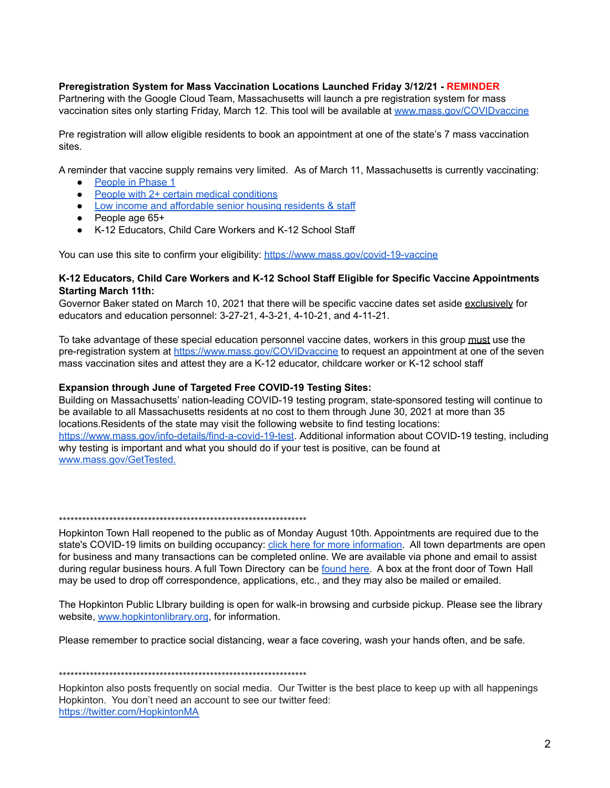#### **Preregistration System for Mass Vaccination Locations Launched Friday 3/12/21 - REMINDER**

Partnering with the Google Cloud Team, Massachusetts will launch a pre registration system for mass vaccination sites only starting Friday, March 12. This tool will be available at [www.mass.gov/COVIDvaccine](https://www.mass.gov/COVIDvaccine)

Pre registration will allow eligible residents to book an appointment at one of the state's 7 mass vaccination sites.

A reminder that vaccine supply remains very limited. As of March 11, Massachusetts is currently vaccinating:

- [People](https://www.mass.gov/info-details/massachusetts-covid-19-vaccination-phases#phase-1-) in Phase 1
- People with 2+ certain medical [conditions](https://www.mass.gov/info-details/certain-medical-conditions-for-phase-2-groups)
- Low income and [affordable](https://www.mass.gov/info-details/covid-19-vaccinations-for-senior-housing-settings) senior housing residents & staff
- People age 65+
- K-12 Educators, Child Care Workers and K-12 School Staff

You can use this site to confirm your eligibility: <https://www.mass.gov/covid-19-vaccine>

#### **K-12 Educators, Child Care Workers and K-12 School Staff Eligible for Specific Vaccine Appointments Starting March 11th:**

Governor Baker stated on March 10, 2021 that there will be specific vaccine dates set aside exclusively for educators and education personnel: 3-27-21, 4-3-21, 4-10-21, and 4-11-21.

To take advantage of these special education personnel vaccine dates, workers in this group must use the pre-registration system at <https://www.mass.gov/COVIDvaccine> to request an appointment at one of the seven mass vaccination sites and attest they are a K-12 educator, childcare worker or K-12 school staff

#### **Expansion through June of Targeted Free COVID-19 Testing Sites:**

Building on Massachusetts' nation-leading COVID-19 testing program, state-sponsored testing will continue to be available to all Massachusetts residents at no cost to them through June 30, 2021 at more than 35 locations.Residents of the state may visit the following website to find testing locations: <https://www.mass.gov/info-details/find-a-covid-19-test>. Additional information about COVID-19 testing, including why testing is important and what you should do if your test is positive, can be found at [www.mass.gov/GetTested](https://www.mass.gov/GetTested).

\*\*\*\*\*\*\*\*\*\*\*\*\*\*\*\*\*\*\*\*\*\*\*\*\*\*\*\*\*\*\*\*\*\*\*\*\*\*\*\*\*\*\*\*\*\*\*\*\*\*\*\*\*\*\*\*\*\*\*\*\*\*\*\*

Hopkinton Town Hall reopened to the public as of Monday August 10th. Appointments are required due to the state's COVID-19 limits on building occupancy: click here for more [information.](https://www.hopkintonma.gov/Hopkinton%20Town%20Hall%20Reopening%20Plan%208-7-2020.pdf) All town departments are open for business and many transactions can be completed online. We are available via phone and email to assist during regular business hours. A full Town Directory can be [found](https://www.hopkintonma.gov/departments/index.php) here. A box at the front door of Town Hall may be used to drop off correspondence, applications, etc., and they may also be mailed or emailed.

The Hopkinton Public LIbrary building is open for walk-in browsing and curbside pickup. Please see the library website, [www.hopkintonlibrary.org](http://www.hopkintonlibrary.org), for information.

Please remember to practice social distancing, wear a face covering, wash your hands often, and be safe.

#### \*\*\*\*\*\*\*\*\*\*\*\*\*\*\*\*\*\*\*\*\*\*\*\*\*\*\*\*\*\*\*\*\*\*\*\*\*\*\*\*\*\*\*\*\*\*\*\*\*\*\*\*\*\*\*\*\*\*\*\*\*\*\*\*

Hopkinton also posts frequently on social media. Our Twitter is the best place to keep up with all happenings Hopkinton. You don't need an account to see our twitter feed: <https://twitter.com/HopkintonMA>